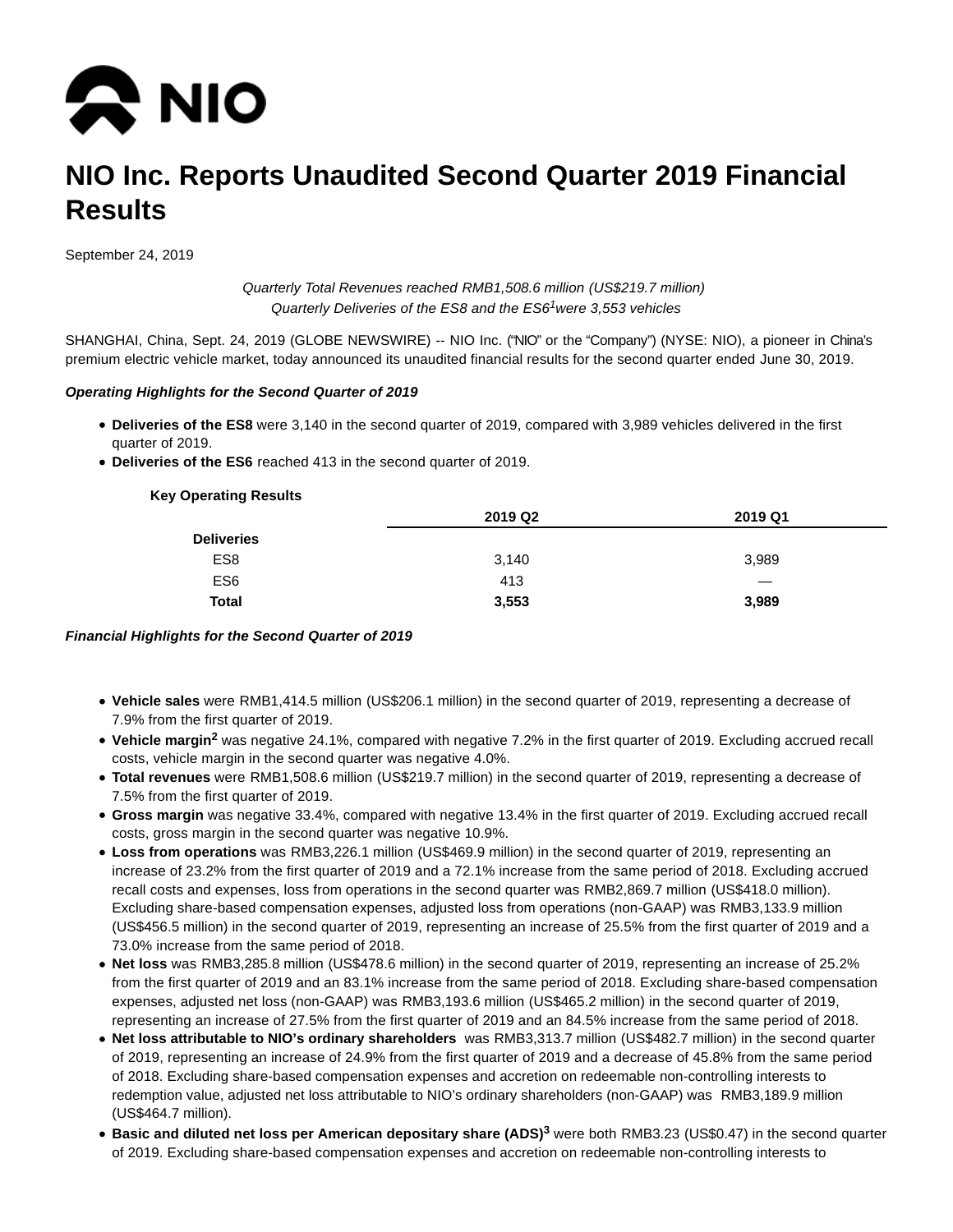

# **NIO Inc. Reports Unaudited Second Quarter 2019 Financial Results**

September 24, 2019

Quarterly Total Revenues reached RMB1,508.6 million (US\$219.7 million) Quarterly Deliveries of the ES8 and the  $ESS<sup>1</sup>$  were 3,553 vehicles

SHANGHAI, China, Sept. 24, 2019 (GLOBE NEWSWIRE) -- NIO Inc. ("NIO" or the "Company") (NYSE: NIO), a pioneer in China's premium electric vehicle market, today announced its unaudited financial results for the second quarter ended June 30, 2019.

#### **Operating Highlights for the Second Quarter of 2019**

- **Deliveries of the ES8** were 3,140 in the second quarter of 2019, compared with 3,989 vehicles delivered in the first quarter of 2019.
- **Deliveries of the ES6** reached 413 in the second quarter of 2019.

# **Key Operating Results 2019 Q2 2019 Q1 Deliveries** ES8 3,989 3,140 3,989  $\sim$  ES6  $\sim$   $\sim$  413  $\sim$ **Total 3,553 3,989**

#### **Financial Highlights for the Second Quarter of 2019**

- **Vehicle sales** were RMB1,414.5 million (US\$206.1 million) in the second quarter of 2019, representing a decrease of 7.9% from the first quarter of 2019.
- Vehicle margin<sup>2</sup> was negative 24.1%, compared with negative 7.2% in the first quarter of 2019. Excluding accrued recall costs, vehicle margin in the second quarter was negative 4.0%.
- **Total revenues** were RMB1,508.6 million (US\$219.7 million) in the second quarter of 2019, representing a decrease of 7.5% from the first quarter of 2019.
- **Gross margin** was negative 33.4%, compared with negative 13.4% in the first quarter of 2019. Excluding accrued recall costs, gross margin in the second quarter was negative 10.9%.
- **Loss from operations** was RMB3,226.1 million (US\$469.9 million) in the second quarter of 2019, representing an increase of 23.2% from the first quarter of 2019 and a 72.1% increase from the same period of 2018. Excluding accrued recall costs and expenses, loss from operations in the second quarter was RMB2,869.7 million (US\$418.0 million). Excluding share-based compensation expenses, adjusted loss from operations (non-GAAP) was RMB3,133.9 million (US\$456.5 million) in the second quarter of 2019, representing an increase of 25.5% from the first quarter of 2019 and a 73.0% increase from the same period of 2018.
- **Net loss** was RMB3,285.8 million (US\$478.6 million) in the second quarter of 2019, representing an increase of 25.2% from the first quarter of 2019 and an 83.1% increase from the same period of 2018. Excluding share-based compensation expenses, adjusted net loss (non-GAAP) was RMB3,193.6 million (US\$465.2 million) in the second quarter of 2019, representing an increase of 27.5% from the first quarter of 2019 and an 84.5% increase from the same period of 2018.
- **Net loss attributable to NIO's ordinary shareholders** was RMB3,313.7 million (US\$482.7 million) in the second quarter of 2019, representing an increase of 24.9% from the first quarter of 2019 and a decrease of 45.8% from the same period of 2018. Excluding share-based compensation expenses and accretion on redeemable non-controlling interests to redemption value, adjusted net loss attributable to NIO's ordinary shareholders (non-GAAP) was RMB3,189.9 million (US\$464.7 million).
- **Basic and diluted net loss per American depositary share (ADS)<sup>3</sup>** were both RMB3.23 (US\$0.47) in the second quarter of 2019. Excluding share-based compensation expenses and accretion on redeemable non-controlling interests to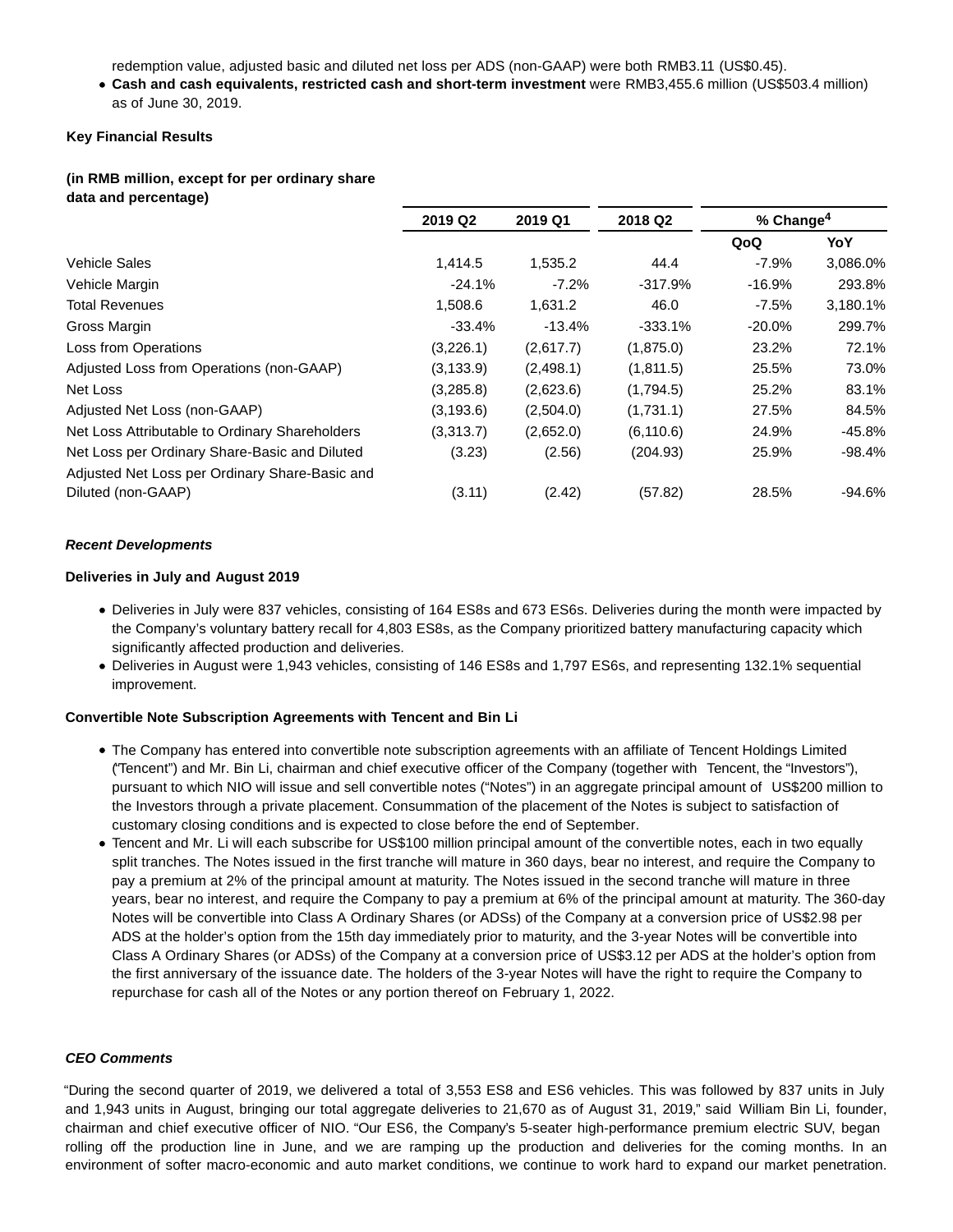redemption value, adjusted basic and diluted net loss per ADS (non-GAAP) were both RMB3.11 (US\$0.45).

**Cash and cash equivalents, restricted cash and short-term investment** were RMB3,455.6 million (US\$503.4 million) as of June 30, 2019.

#### **Key Financial Results**

#### **(in RMB million, except for per ordinary share data and percentage)**

|                                                | 2019 Q2<br>2019 Q1 |           | 2018 Q2    | % Change <sup>4</sup> |          |
|------------------------------------------------|--------------------|-----------|------------|-----------------------|----------|
|                                                |                    |           |            | QoQ                   | YoY      |
| Vehicle Sales                                  | 1.414.5            | 1,535.2   | 44.4       | $-7.9%$               | 3,086.0% |
| Vehicle Margin                                 | $-24.1%$           | $-7.2\%$  | $-317.9%$  | $-16.9%$              | 293.8%   |
| <b>Total Revenues</b>                          | 1.508.6            | 1,631.2   | 46.0       | $-7.5%$               | 3,180.1% |
| Gross Margin                                   | $-33.4%$           | $-13.4%$  | $-333.1%$  | $-20.0%$              | 299.7%   |
| Loss from Operations                           | (3,226.1)          | (2,617.7) | (1,875.0)  | 23.2%                 | 72.1%    |
| Adjusted Loss from Operations (non-GAAP)       | (3, 133.9)         | (2,498.1) | (1,811.5)  | 25.5%                 | 73.0%    |
| Net Loss                                       | (3,285.8)          | (2,623.6) | (1,794.5)  | 25.2%                 | 83.1%    |
| Adjusted Net Loss (non-GAAP)                   | (3, 193.6)         | (2,504.0) | (1,731.1)  | 27.5%                 | 84.5%    |
| Net Loss Attributable to Ordinary Shareholders | (3,313.7)          | (2,652.0) | (6, 110.6) | 24.9%                 | -45.8%   |
| Net Loss per Ordinary Share-Basic and Diluted  | (3.23)             | (2.56)    | (204.93)   | 25.9%                 | -98.4%   |
| Adjusted Net Loss per Ordinary Share-Basic and |                    |           |            |                       |          |
| Diluted (non-GAAP)                             | (3.11)             | (2.42)    | (57.82)    | 28.5%                 | -94.6%   |

#### **Recent Developments**

#### **Deliveries in July and August 2019**

- Deliveries in July were 837 vehicles, consisting of 164 ES8s and 673 ES6s. Deliveries during the month were impacted by the Company's voluntary battery recall for 4,803 ES8s, as the Company prioritized battery manufacturing capacity which significantly affected production and deliveries.
- Deliveries in August were 1,943 vehicles, consisting of 146 ES8s and 1,797 ES6s, and representing 132.1% sequential improvement.

#### **Convertible Note Subscription Agreements with Tencent and Bin Li**

- The Company has entered into convertible note subscription agreements with an affiliate of Tencent Holdings Limited ("Tencent") and Mr. Bin Li, chairman and chief executive officer of the Company (together with Tencent, the "Investors"), pursuant to which NIO will issue and sell convertible notes ("Notes") in an aggregate principal amount of US\$200 million to the Investors through a private placement. Consummation of the placement of the Notes is subject to satisfaction of customary closing conditions and is expected to close before the end of September.
- Tencent and Mr. Li will each subscribe for US\$100 million principal amount of the convertible notes, each in two equally split tranches. The Notes issued in the first tranche will mature in 360 days, bear no interest, and require the Company to pay a premium at 2% of the principal amount at maturity. The Notes issued in the second tranche will mature in three years, bear no interest, and require the Company to pay a premium at 6% of the principal amount at maturity. The 360-day Notes will be convertible into Class A Ordinary Shares (or ADSs) of the Company at a conversion price of US\$2.98 per ADS at the holder's option from the 15th day immediately prior to maturity, and the 3-year Notes will be convertible into Class A Ordinary Shares (or ADSs) of the Company at a conversion price of US\$3.12 per ADS at the holder's option from the first anniversary of the issuance date. The holders of the 3-year Notes will have the right to require the Company to repurchase for cash all of the Notes or any portion thereof on February 1, 2022.

#### **CEO Comments**

"During the second quarter of 2019, we delivered a total of 3,553 ES8 and ES6 vehicles. This was followed by 837 units in July and 1,943 units in August, bringing our total aggregate deliveries to 21,670 as of August 31, 2019," said William Bin Li, founder, chairman and chief executive officer of NIO. "Our ES6, the Company's 5-seater high-performance premium electric SUV, began rolling off the production line in June, and we are ramping up the production and deliveries for the coming months. In an environment of softer macro-economic and auto market conditions, we continue to work hard to expand our market penetration.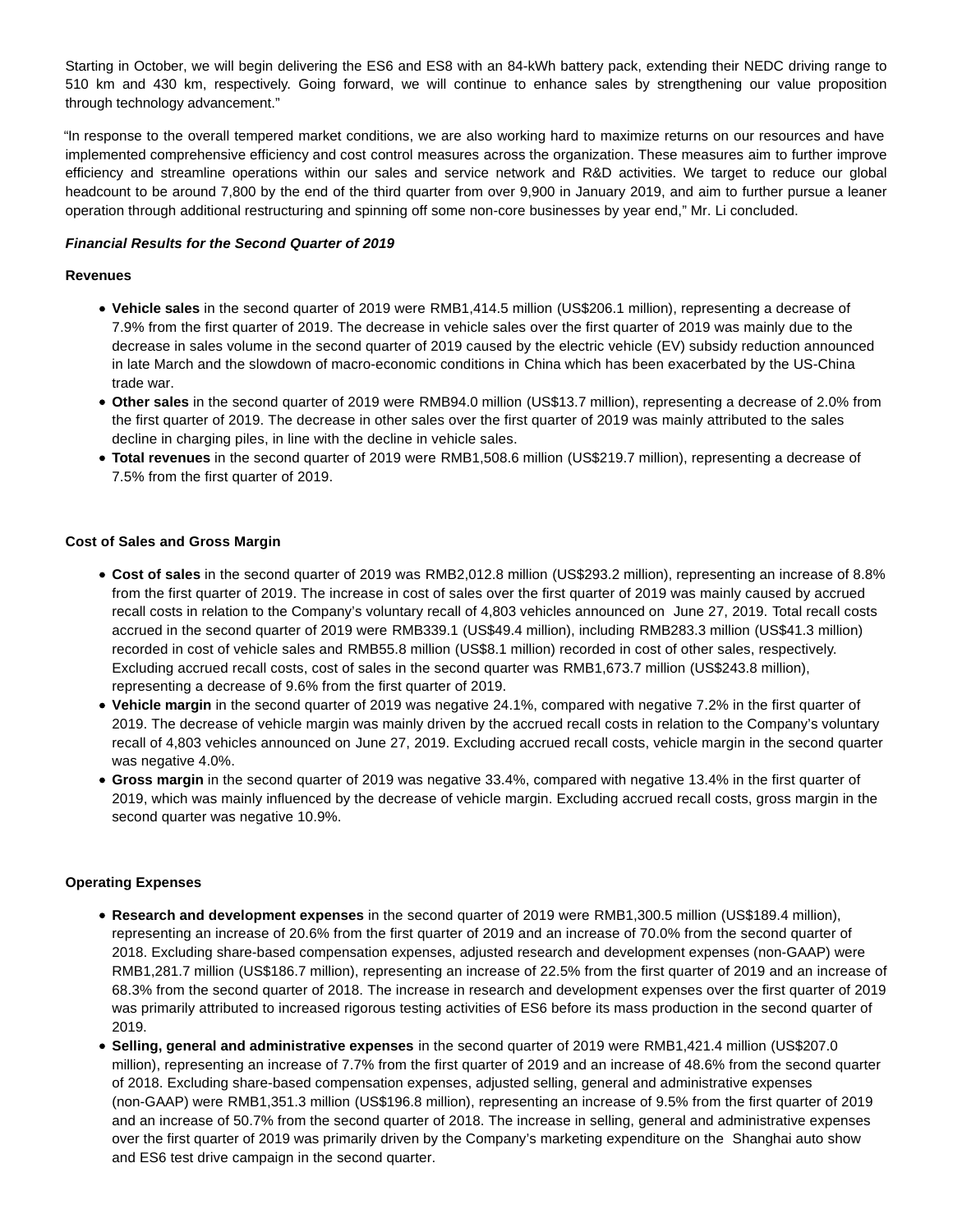Starting in October, we will begin delivering the ES6 and ES8 with an 84-kWh battery pack, extending their NEDC driving range to 510 km and 430 km, respectively. Going forward, we will continue to enhance sales by strengthening our value proposition through technology advancement."

"In response to the overall tempered market conditions, we are also working hard to maximize returns on our resources and have implemented comprehensive efficiency and cost control measures across the organization. These measures aim to further improve efficiency and streamline operations within our sales and service network and R&D activities. We target to reduce our global headcount to be around 7,800 by the end of the third quarter from over 9,900 in January 2019, and aim to further pursue a leaner operation through additional restructuring and spinning off some non-core businesses by year end," Mr. Li concluded.

#### **Financial Results for the Second Quarter of 2019**

#### **Revenues**

- **Vehicle sales** in the second quarter of 2019 were RMB1,414.5 million (US\$206.1 million), representing a decrease of 7.9% from the first quarter of 2019. The decrease in vehicle sales over the first quarter of 2019 was mainly due to the decrease in sales volume in the second quarter of 2019 caused by the electric vehicle (EV) subsidy reduction announced in late March and the slowdown of macro-economic conditions in China which has been exacerbated by the US-China trade war.
- **Other sales** in the second quarter of 2019 were RMB94.0 million (US\$13.7 million), representing a decrease of 2.0% from the first quarter of 2019. The decrease in other sales over the first quarter of 2019 was mainly attributed to the sales decline in charging piles, in line with the decline in vehicle sales.
- **Total revenues** in the second quarter of 2019 were RMB1,508.6 million (US\$219.7 million), representing a decrease of 7.5% from the first quarter of 2019.

#### **Cost of Sales and Gross Margin**

- **Cost of sales** in the second quarter of 2019 was RMB2,012.8 million (US\$293.2 million), representing an increase of 8.8% from the first quarter of 2019. The increase in cost of sales over the first quarter of 2019 was mainly caused by accrued recall costs in relation to the Company's voluntary recall of 4,803 vehicles announced on June 27, 2019. Total recall costs accrued in the second quarter of 2019 were RMB339.1 (US\$49.4 million), including RMB283.3 million (US\$41.3 million) recorded in cost of vehicle sales and RMB55.8 million (US\$8.1 million) recorded in cost of other sales, respectively. Excluding accrued recall costs, cost of sales in the second quarter was RMB1,673.7 million (US\$243.8 million), representing a decrease of 9.6% from the first quarter of 2019.
- **Vehicle margin** in the second quarter of 2019 was negative 24.1%, compared with negative 7.2% in the first quarter of 2019. The decrease of vehicle margin was mainly driven by the accrued recall costs in relation to the Company's voluntary recall of 4,803 vehicles announced on June 27, 2019. Excluding accrued recall costs, vehicle margin in the second quarter was negative 4.0%.
- **Gross margin** in the second quarter of 2019 was negative 33.4%, compared with negative 13.4% in the first quarter of 2019, which was mainly influenced by the decrease of vehicle margin. Excluding accrued recall costs, gross margin in the second quarter was negative 10.9%.

#### **Operating Expenses**

- **Research and development expenses** in the second quarter of 2019 were RMB1,300.5 million (US\$189.4 million), representing an increase of 20.6% from the first quarter of 2019 and an increase of 70.0% from the second quarter of 2018. Excluding share-based compensation expenses, adjusted research and development expenses (non-GAAP) were RMB1,281.7 million (US\$186.7 million), representing an increase of 22.5% from the first quarter of 2019 and an increase of 68.3% from the second quarter of 2018. The increase in research and development expenses over the first quarter of 2019 was primarily attributed to increased rigorous testing activities of ES6 before its mass production in the second quarter of 2019.
- **Selling, general and administrative expenses** in the second quarter of 2019 were RMB1,421.4 million (US\$207.0 million), representing an increase of 7.7% from the first quarter of 2019 and an increase of 48.6% from the second quarter of 2018. Excluding share-based compensation expenses, adjusted selling, general and administrative expenses (non-GAAP) were RMB1,351.3 million (US\$196.8 million), representing an increase of 9.5% from the first quarter of 2019 and an increase of 50.7% from the second quarter of 2018. The increase in selling, general and administrative expenses over the first quarter of 2019 was primarily driven by the Company's marketing expenditure on the Shanghai auto show and ES6 test drive campaign in the second quarter.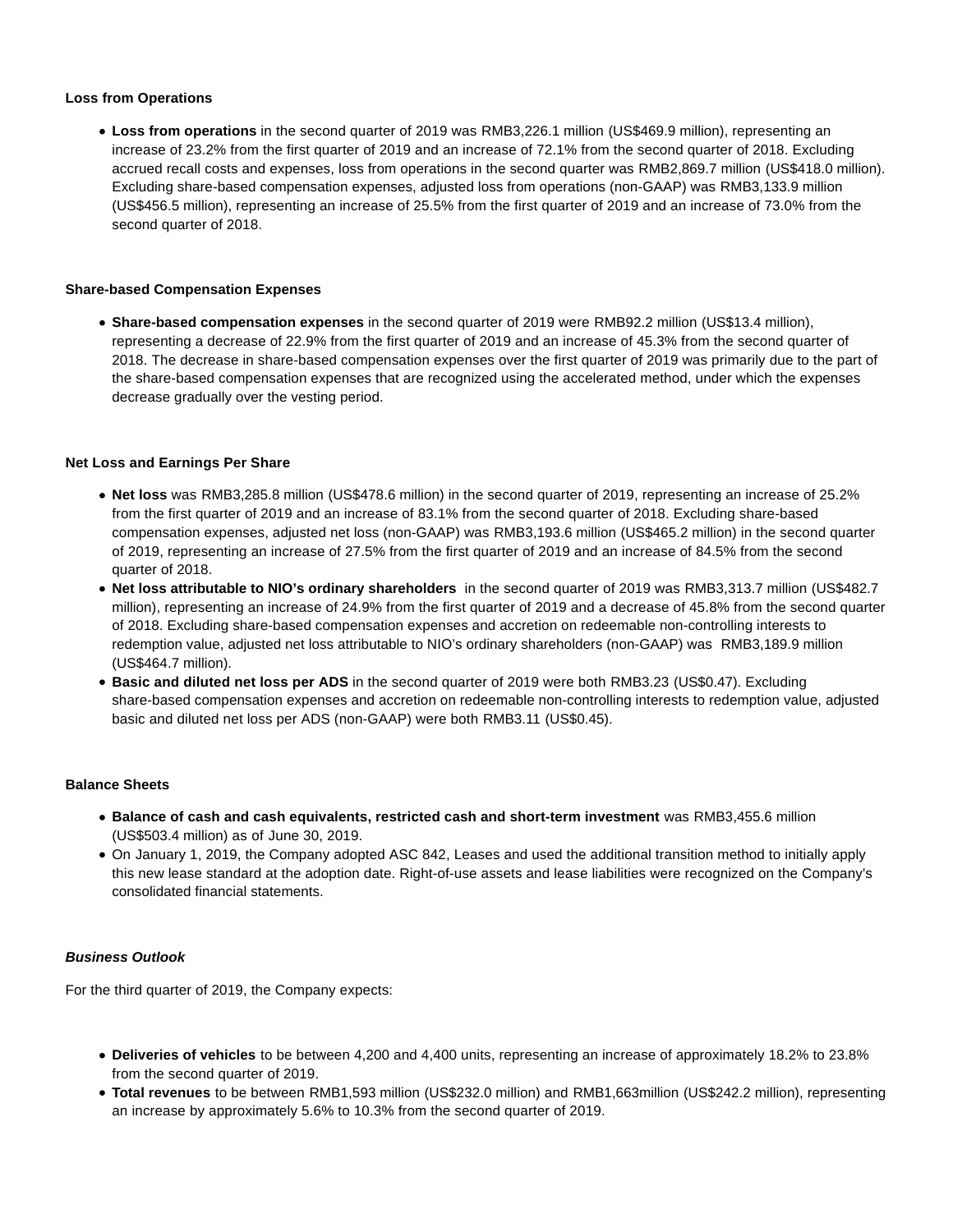#### **Loss from Operations**

**Loss from operations** in the second quarter of 2019 was RMB3,226.1 million (US\$469.9 million), representing an increase of 23.2% from the first quarter of 2019 and an increase of 72.1% from the second quarter of 2018. Excluding accrued recall costs and expenses, loss from operations in the second quarter was RMB2,869.7 million (US\$418.0 million). Excluding share-based compensation expenses, adjusted loss from operations (non-GAAP) was RMB3,133.9 million (US\$456.5 million), representing an increase of 25.5% from the first quarter of 2019 and an increase of 73.0% from the second quarter of 2018.

#### **Share-based Compensation Expenses**

**Share-based compensation expenses** in the second quarter of 2019 were RMB92.2 million (US\$13.4 million), representing a decrease of 22.9% from the first quarter of 2019 and an increase of 45.3% from the second quarter of 2018. The decrease in share-based compensation expenses over the first quarter of 2019 was primarily due to the part of the share-based compensation expenses that are recognized using the accelerated method, under which the expenses decrease gradually over the vesting period.

#### **Net Loss and Earnings Per Share**

- **Net loss** was RMB3,285.8 million (US\$478.6 million) in the second quarter of 2019, representing an increase of 25.2% from the first quarter of 2019 and an increase of 83.1% from the second quarter of 2018. Excluding share-based compensation expenses, adjusted net loss (non-GAAP) was RMB3,193.6 million (US\$465.2 million) in the second quarter of 2019, representing an increase of 27.5% from the first quarter of 2019 and an increase of 84.5% from the second quarter of 2018.
- **Net loss attributable to NIO's ordinary shareholders** in the second quarter of 2019 was RMB3,313.7 million (US\$482.7 million), representing an increase of 24.9% from the first quarter of 2019 and a decrease of 45.8% from the second quarter of 2018. Excluding share-based compensation expenses and accretion on redeemable non-controlling interests to redemption value, adjusted net loss attributable to NIO's ordinary shareholders (non-GAAP) was RMB3,189.9 million (US\$464.7 million).
- **Basic and diluted net loss per ADS** in the second quarter of 2019 were both RMB3.23 (US\$0.47). Excluding share-based compensation expenses and accretion on redeemable non-controlling interests to redemption value, adjusted basic and diluted net loss per ADS (non-GAAP) were both RMB3.11 (US\$0.45).

#### **Balance Sheets**

- **Balance of cash and cash equivalents, restricted cash and short-term investment** was RMB3,455.6 million (US\$503.4 million) as of June 30, 2019.
- On January 1, 2019, the Company adopted ASC 842, Leases and used the additional transition method to initially apply this new lease standard at the adoption date. Right-of-use assets and lease liabilities were recognized on the Company's consolidated financial statements.

## **Business Outlook**

For the third quarter of 2019, the Company expects:

- **Deliveries of vehicles** to be between 4,200 and 4,400 units, representing an increase of approximately 18.2% to 23.8% from the second quarter of 2019.
- **Total revenues** to be between RMB1,593 million (US\$232.0 million) and RMB1,663million (US\$242.2 million), representing an increase by approximately 5.6% to 10.3% from the second quarter of 2019.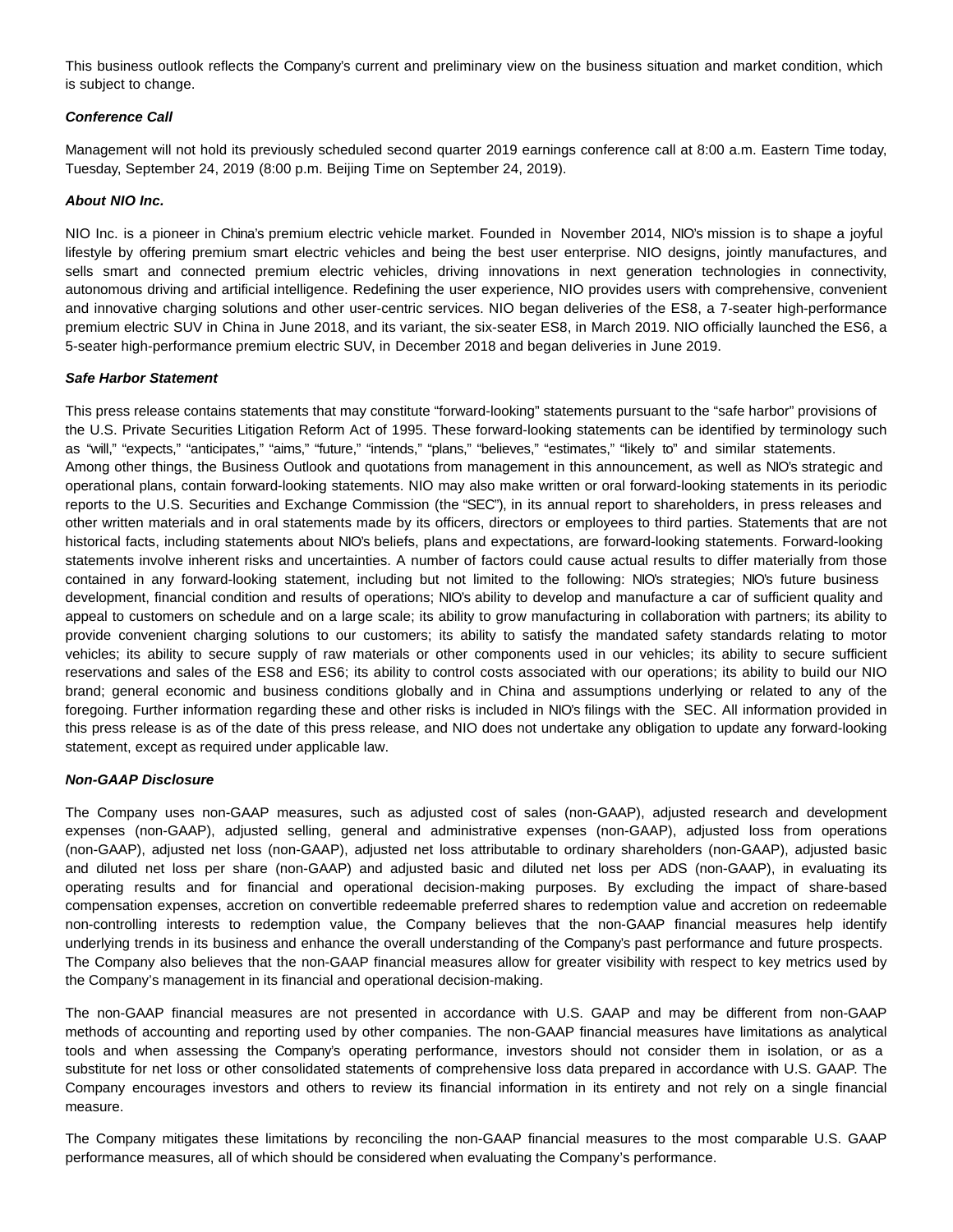This business outlook reflects the Company's current and preliminary view on the business situation and market condition, which is subject to change.

#### **Conference Call**

Management will not hold its previously scheduled second quarter 2019 earnings conference call at 8:00 a.m. Eastern Time today, Tuesday, September 24, 2019 (8:00 p.m. Beijing Time on September 24, 2019).

#### **About NIO Inc.**

NIO Inc. is a pioneer in China's premium electric vehicle market. Founded in November 2014, NIO's mission is to shape a joyful lifestyle by offering premium smart electric vehicles and being the best user enterprise. NIO designs, jointly manufactures, and sells smart and connected premium electric vehicles, driving innovations in next generation technologies in connectivity, autonomous driving and artificial intelligence. Redefining the user experience, NIO provides users with comprehensive, convenient and innovative charging solutions and other user-centric services. NIO began deliveries of the ES8, a 7-seater high-performance premium electric SUV in China in June 2018, and its variant, the six-seater ES8, in March 2019. NIO officially launched the ES6, a 5-seater high-performance premium electric SUV, in December 2018 and began deliveries in June 2019.

#### **Safe Harbor Statement**

This press release contains statements that may constitute "forward-looking" statements pursuant to the "safe harbor" provisions of the U.S. Private Securities Litigation Reform Act of 1995. These forward-looking statements can be identified by terminology such as "will," "expects," "anticipates," "aims," "future," "intends," "plans," "believes," "estimates," "likely to" and similar statements. Among other things, the Business Outlook and quotations from management in this announcement, as well as NIO's strategic and operational plans, contain forward-looking statements. NIO may also make written or oral forward-looking statements in its periodic reports to the U.S. Securities and Exchange Commission (the "SEC"), in its annual report to shareholders, in press releases and other written materials and in oral statements made by its officers, directors or employees to third parties. Statements that are not historical facts, including statements about NIO's beliefs, plans and expectations, are forward-looking statements. Forward-looking statements involve inherent risks and uncertainties. A number of factors could cause actual results to differ materially from those contained in any forward-looking statement, including but not limited to the following: NIO's strategies; NIO's future business development, financial condition and results of operations; NIO's ability to develop and manufacture a car of sufficient quality and appeal to customers on schedule and on a large scale; its ability to grow manufacturing in collaboration with partners; its ability to provide convenient charging solutions to our customers; its ability to satisfy the mandated safety standards relating to motor vehicles; its ability to secure supply of raw materials or other components used in our vehicles; its ability to secure sufficient reservations and sales of the ES8 and ES6; its ability to control costs associated with our operations; its ability to build our NIO brand; general economic and business conditions globally and in China and assumptions underlying or related to any of the foregoing. Further information regarding these and other risks is included in NIO's filings with the SEC. All information provided in this press release is as of the date of this press release, and NIO does not undertake any obligation to update any forward-looking statement, except as required under applicable law.

#### **Non-GAAP Disclosure**

The Company uses non-GAAP measures, such as adjusted cost of sales (non-GAAP), adjusted research and development expenses (non-GAAP), adjusted selling, general and administrative expenses (non-GAAP), adjusted loss from operations (non-GAAP), adjusted net loss (non-GAAP), adjusted net loss attributable to ordinary shareholders (non-GAAP), adjusted basic and diluted net loss per share (non-GAAP) and adjusted basic and diluted net loss per ADS (non-GAAP), in evaluating its operating results and for financial and operational decision-making purposes. By excluding the impact of share-based compensation expenses, accretion on convertible redeemable preferred shares to redemption value and accretion on redeemable non-controlling interests to redemption value, the Company believes that the non-GAAP financial measures help identify underlying trends in its business and enhance the overall understanding of the Company's past performance and future prospects. The Company also believes that the non-GAAP financial measures allow for greater visibility with respect to key metrics used by the Company's management in its financial and operational decision-making.

The non-GAAP financial measures are not presented in accordance with U.S. GAAP and may be different from non-GAAP methods of accounting and reporting used by other companies. The non-GAAP financial measures have limitations as analytical tools and when assessing the Company's operating performance, investors should not consider them in isolation, or as a substitute for net loss or other consolidated statements of comprehensive loss data prepared in accordance with U.S. GAAP. The Company encourages investors and others to review its financial information in its entirety and not rely on a single financial measure.

The Company mitigates these limitations by reconciling the non-GAAP financial measures to the most comparable U.S. GAAP performance measures, all of which should be considered when evaluating the Company's performance.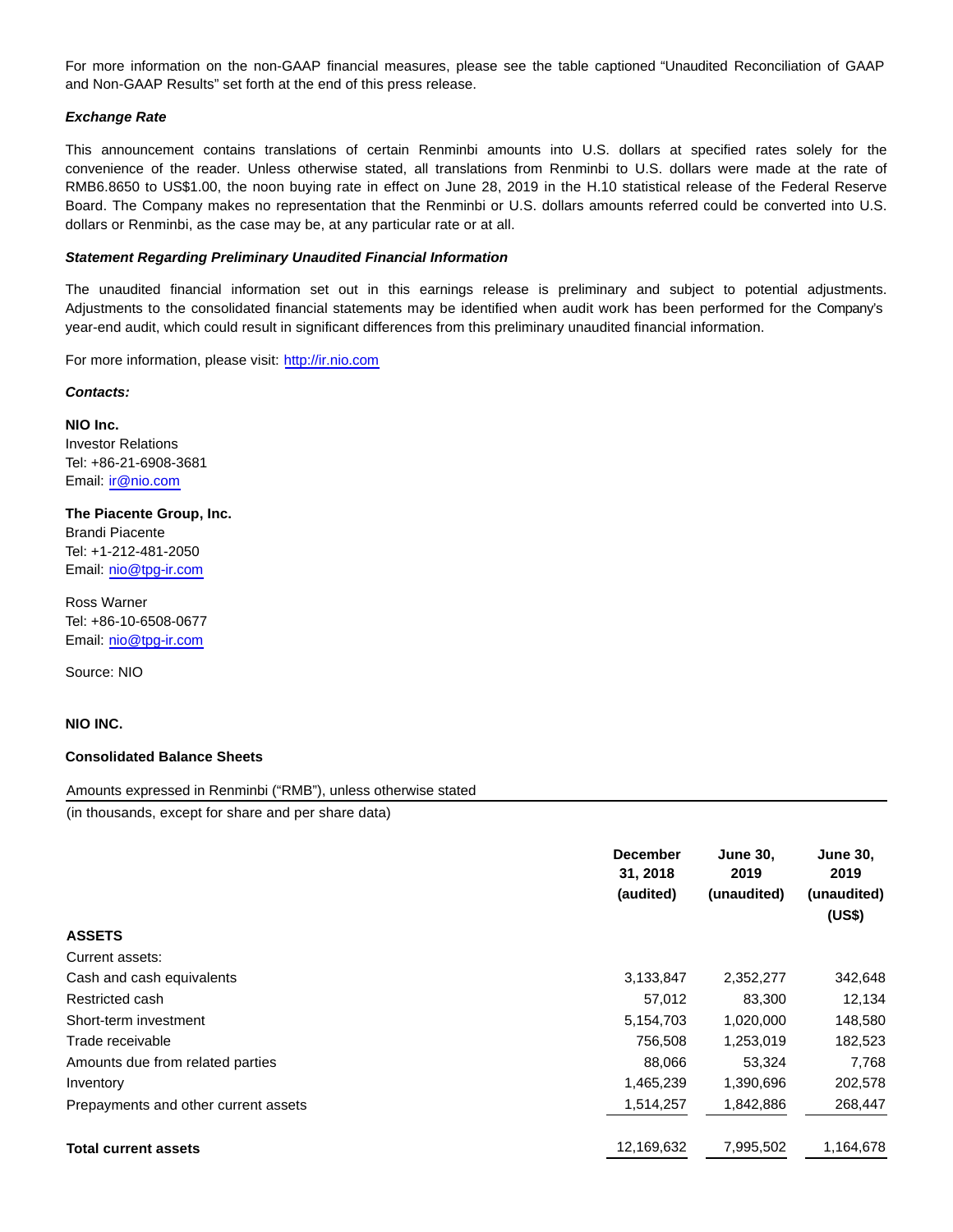For more information on the non-GAAP financial measures, please see the table captioned "Unaudited Reconciliation of GAAP and Non-GAAP Results" set forth at the end of this press release.

#### **Exchange Rate**

This announcement contains translations of certain Renminbi amounts into U.S. dollars at specified rates solely for the convenience of the reader. Unless otherwise stated, all translations from Renminbi to U.S. dollars were made at the rate of RMB6.8650 to US\$1.00, the noon buying rate in effect on June 28, 2019 in the H.10 statistical release of the Federal Reserve Board. The Company makes no representation that the Renminbi or U.S. dollars amounts referred could be converted into U.S. dollars or Renminbi, as the case may be, at any particular rate or at all.

#### **Statement Regarding Preliminary Unaudited Financial Information**

The unaudited financial information set out in this earnings release is preliminary and subject to potential adjustments. Adjustments to the consolidated financial statements may be identified when audit work has been performed for the Company's year-end audit, which could result in significant differences from this preliminary unaudited financial information.

For more information, please visit: [http://ir.nio.com](https://www.globenewswire.com/Tracker?data=MqVuWt49F1PYkhO9_hLmLUV3LfT9gF1sk3IvzzDulA2TihixYlnOh8rv4Y-sOj5m__B-LodEIClJwbj1XBpUvA==)

#### **Contacts:**

**NIO Inc.** Investor Relations Tel: +86-21-6908-3681 Email: [ir@nio.com](mailto:ir@nio.com)

**The Piacente Group, Inc.** Brandi Piacente Tel: +1-212-481-2050 Email: [nio@tpg-ir.com](mailto:nio@tpg-ir.com)

Ross Warner Tel: +86-10-6508-0677 Email: [nio@tpg-ir.com](mailto:nio@tpg-ir.com)

Source: NIO

#### **NIO INC.**

#### **Consolidated Balance Sheets**

Amounts expressed in Renminbi ("RMB"), unless otherwise stated

(in thousands, except for share and per share data)

|                                      | <b>December</b><br>31, 2018<br>(audited) | <b>June 30,</b><br>2019<br>(unaudited) | <b>June 30,</b><br>2019<br>(unaudited)<br>(US\$) |
|--------------------------------------|------------------------------------------|----------------------------------------|--------------------------------------------------|
| <b>ASSETS</b>                        |                                          |                                        |                                                  |
| Current assets:                      |                                          |                                        |                                                  |
| Cash and cash equivalents            | 3,133,847                                | 2,352,277                              | 342,648                                          |
| Restricted cash                      | 57,012                                   | 83,300                                 | 12,134                                           |
| Short-term investment                | 5,154,703                                | 1,020,000                              | 148,580                                          |
| Trade receivable                     | 756,508                                  | 1,253,019                              | 182,523                                          |
| Amounts due from related parties     | 88,066                                   | 53,324                                 | 7,768                                            |
| Inventory                            | 1,465,239                                | 1,390,696                              | 202,578                                          |
| Prepayments and other current assets | 1,514,257                                | 1,842,886                              | 268,447                                          |
| <b>Total current assets</b>          | 12,169,632                               | 7,995,502                              | 1,164,678                                        |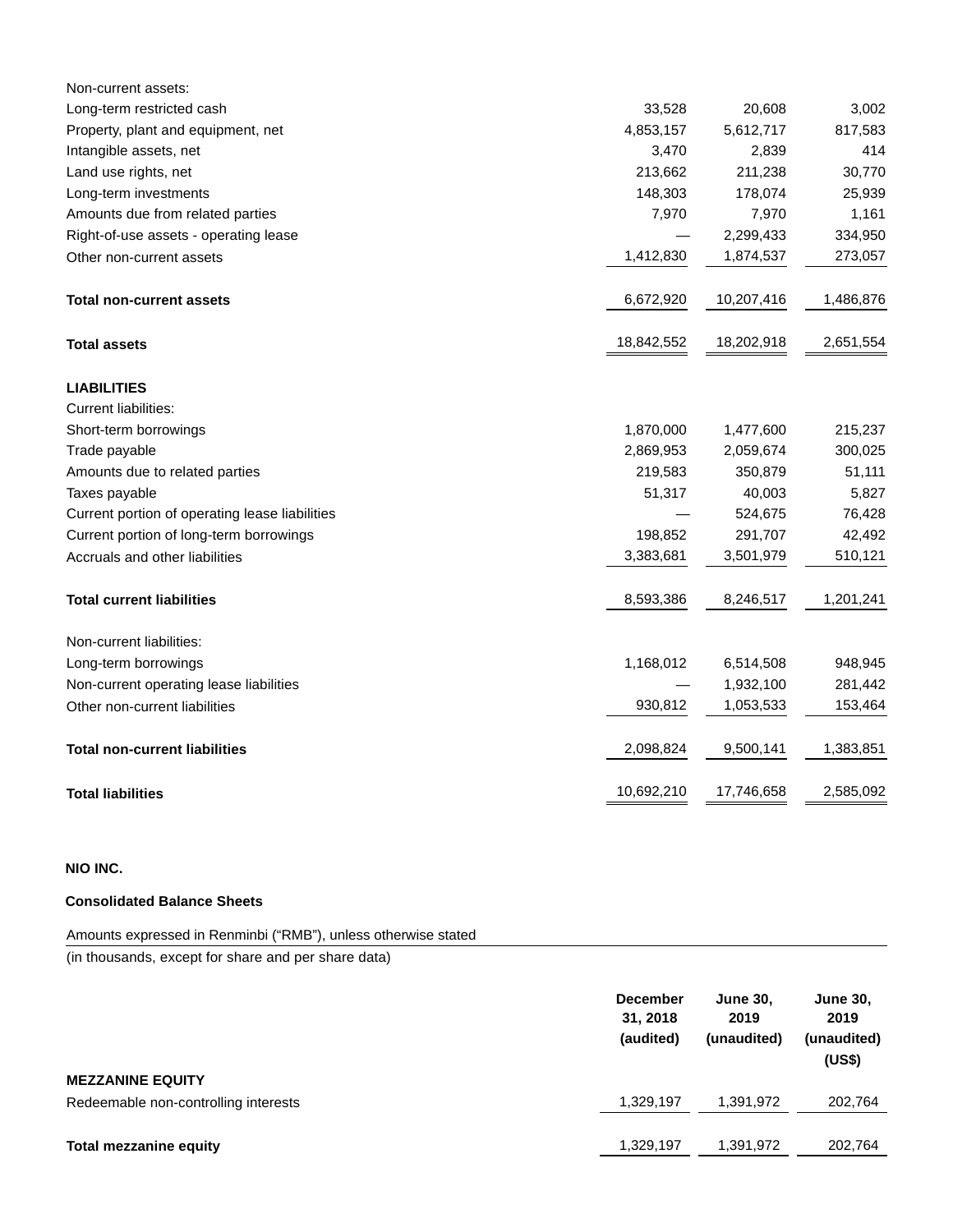| Non-current assets:                            |            |            |           |
|------------------------------------------------|------------|------------|-----------|
| Long-term restricted cash                      | 33,528     | 20,608     | 3,002     |
| Property, plant and equipment, net             | 4,853,157  | 5,612,717  | 817,583   |
| Intangible assets, net                         | 3,470      | 2,839      | 414       |
| Land use rights, net                           | 213,662    | 211,238    | 30,770    |
| Long-term investments                          | 148,303    | 178,074    | 25,939    |
| Amounts due from related parties               | 7,970      | 7,970      | 1,161     |
| Right-of-use assets - operating lease          |            | 2,299,433  | 334,950   |
| Other non-current assets                       | 1,412,830  | 1,874,537  | 273,057   |
| <b>Total non-current assets</b>                | 6,672,920  | 10,207,416 | 1,486,876 |
| <b>Total assets</b>                            | 18,842,552 | 18,202,918 | 2,651,554 |
| <b>LIABILITIES</b>                             |            |            |           |
| <b>Current liabilities:</b>                    |            |            |           |
| Short-term borrowings                          | 1,870,000  | 1,477,600  | 215,237   |
| Trade payable                                  | 2,869,953  | 2,059,674  | 300,025   |
| Amounts due to related parties                 | 219,583    | 350,879    | 51,111    |
| Taxes payable                                  | 51,317     | 40,003     | 5,827     |
| Current portion of operating lease liabilities |            | 524,675    | 76,428    |
| Current portion of long-term borrowings        | 198,852    | 291,707    | 42,492    |
| Accruals and other liabilities                 | 3,383,681  | 3,501,979  | 510,121   |
| <b>Total current liabilities</b>               | 8,593,386  | 8,246,517  | 1,201,241 |
| Non-current liabilities:                       |            |            |           |
| Long-term borrowings                           | 1,168,012  | 6,514,508  | 948,945   |
| Non-current operating lease liabilities        |            | 1,932,100  | 281,442   |
| Other non-current liabilities                  | 930,812    | 1,053,533  | 153,464   |
| <b>Total non-current liabilities</b>           | 2,098,824  | 9,500,141  | 1,383,851 |
| <b>Total liabilities</b>                       | 10,692,210 | 17,746,658 | 2,585,092 |

# **NIO INC.**

## **Consolidated Balance Sheets**

Amounts expressed in Renminbi ("RMB"), unless otherwise stated

(in thousands, except for share and per share data)

|                                      | <b>December</b><br>31, 2018<br>(audited) | <b>June 30.</b><br>2019<br>(unaudited) | <b>June 30,</b><br>2019<br>(unaudited)<br>(US\$) |
|--------------------------------------|------------------------------------------|----------------------------------------|--------------------------------------------------|
| <b>MEZZANINE EQUITY</b>              |                                          |                                        |                                                  |
| Redeemable non-controlling interests | 1,329,197                                | 1,391,972                              | 202,764                                          |
|                                      |                                          |                                        |                                                  |
| <b>Total mezzanine equity</b>        | 1,329,197                                | 1,391,972                              | 202.764                                          |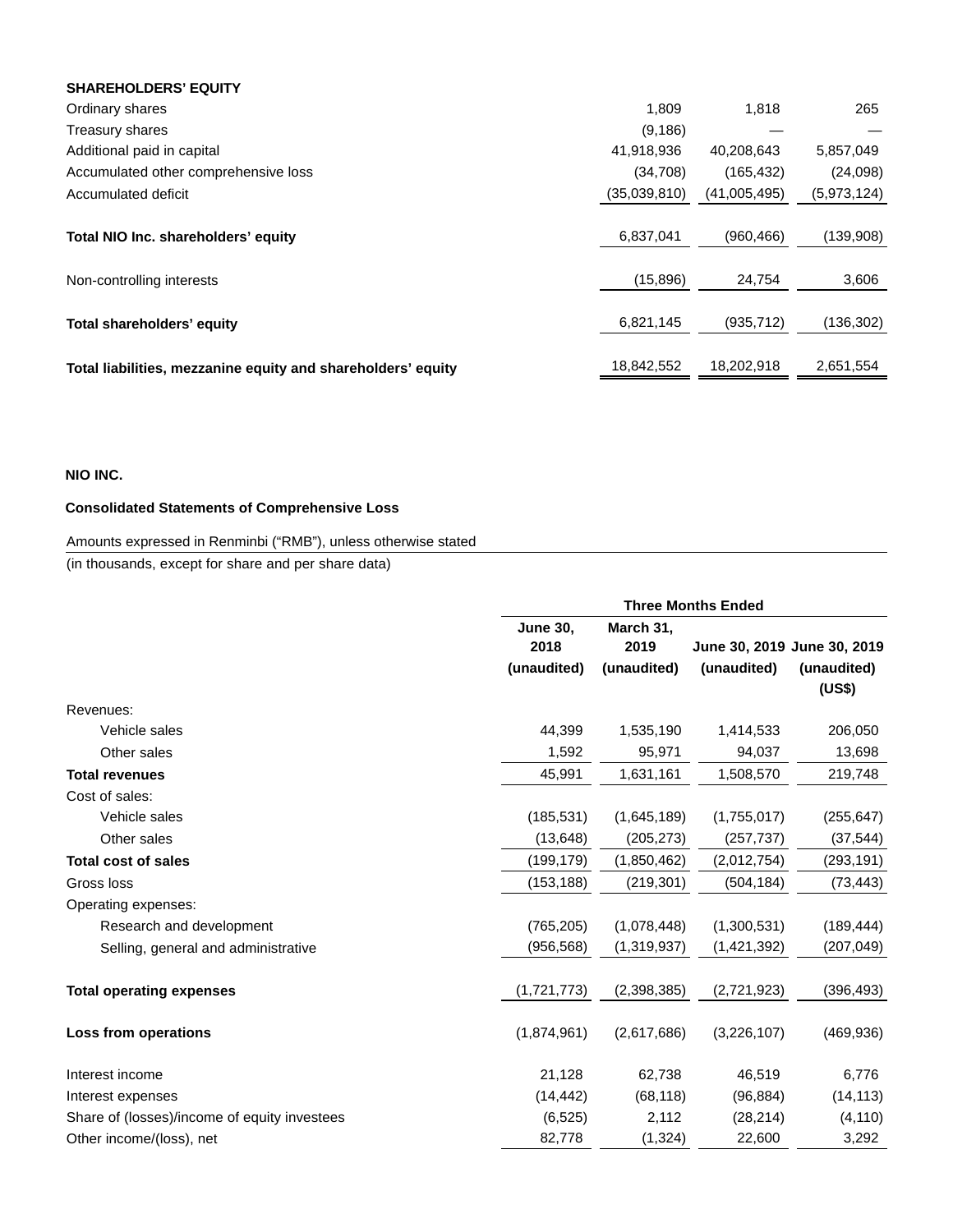| <b>SHAREHOLDERS' EQUITY</b>                                  |              |              |             |
|--------------------------------------------------------------|--------------|--------------|-------------|
| Ordinary shares                                              | 1.809        | 1.818        | 265         |
| Treasury shares                                              | (9, 186)     |              |             |
| Additional paid in capital                                   | 41,918,936   | 40,208,643   | 5,857,049   |
| Accumulated other comprehensive loss                         | (34,708)     | (165, 432)   | (24,098)    |
| Accumulated deficit                                          | (35,039,810) | (41,005,495) | (5,973,124) |
|                                                              |              |              |             |
| Total NIO Inc. shareholders' equity                          | 6,837,041    | (960, 466)   | (139,908)   |
|                                                              |              |              |             |
| Non-controlling interests                                    | (15,896)     | 24,754       | 3,606       |
|                                                              |              |              |             |
| Total shareholders' equity                                   | 6,821,145    | (935, 712)   | (136,302)   |
|                                                              |              |              |             |
| Total liabilities, mezzanine equity and shareholders' equity | 18,842,552   | 18,202,918   | 2,651,554   |

## **NIO INC.**

# **Consolidated Statements of Comprehensive Loss**

# Amounts expressed in Renminbi ("RMB"), unless otherwise stated

(in thousands, except for share and per share data)

|                                              | <b>Three Months Ended</b> |                   |             |                             |  |  |
|----------------------------------------------|---------------------------|-------------------|-------------|-----------------------------|--|--|
|                                              | <b>June 30,</b><br>2018   | March 31,<br>2019 |             | June 30, 2019 June 30, 2019 |  |  |
|                                              | (unaudited)               | (unaudited)       | (unaudited) | (unaudited)<br>(US\$)       |  |  |
| Revenues:                                    |                           |                   |             |                             |  |  |
| Vehicle sales                                | 44,399                    | 1,535,190         | 1,414,533   | 206,050                     |  |  |
| Other sales                                  | 1,592                     | 95,971            | 94,037      | 13,698                      |  |  |
| <b>Total revenues</b>                        | 45,991                    | 1,631,161         | 1,508,570   | 219,748                     |  |  |
| Cost of sales:                               |                           |                   |             |                             |  |  |
| Vehicle sales                                | (185, 531)                | (1,645,189)       | (1,755,017) | (255, 647)                  |  |  |
| Other sales                                  | (13, 648)                 | (205, 273)        | (257, 737)  | (37, 544)                   |  |  |
| <b>Total cost of sales</b>                   | (199,179)                 | (1,850,462)       | (2,012,754) | (293, 191)                  |  |  |
| Gross loss                                   | (153, 188)                | (219, 301)        | (504, 184)  | (73, 443)                   |  |  |
| Operating expenses:                          |                           |                   |             |                             |  |  |
| Research and development                     | (765, 205)                | (1,078,448)       | (1,300,531) | (189, 444)                  |  |  |
| Selling, general and administrative          | (956, 568)                | (1,319,937)       | (1,421,392) | (207, 049)                  |  |  |
| <b>Total operating expenses</b>              | (1,721,773)               | (2,398,385)       | (2,721,923) | (396, 493)                  |  |  |
| Loss from operations                         | (1,874,961)               | (2,617,686)       | (3,226,107) | (469, 936)                  |  |  |
| Interest income                              | 21,128                    | 62,738            | 46,519      | 6,776                       |  |  |
| Interest expenses                            | (14, 442)                 | (68, 118)         | (96, 884)   | (14, 113)                   |  |  |
| Share of (losses)/income of equity investees | (6, 525)                  | 2,112             | (28, 214)   | (4, 110)                    |  |  |
| Other income/(loss), net                     | 82,778                    | (1, 324)          | 22,600      | 3,292                       |  |  |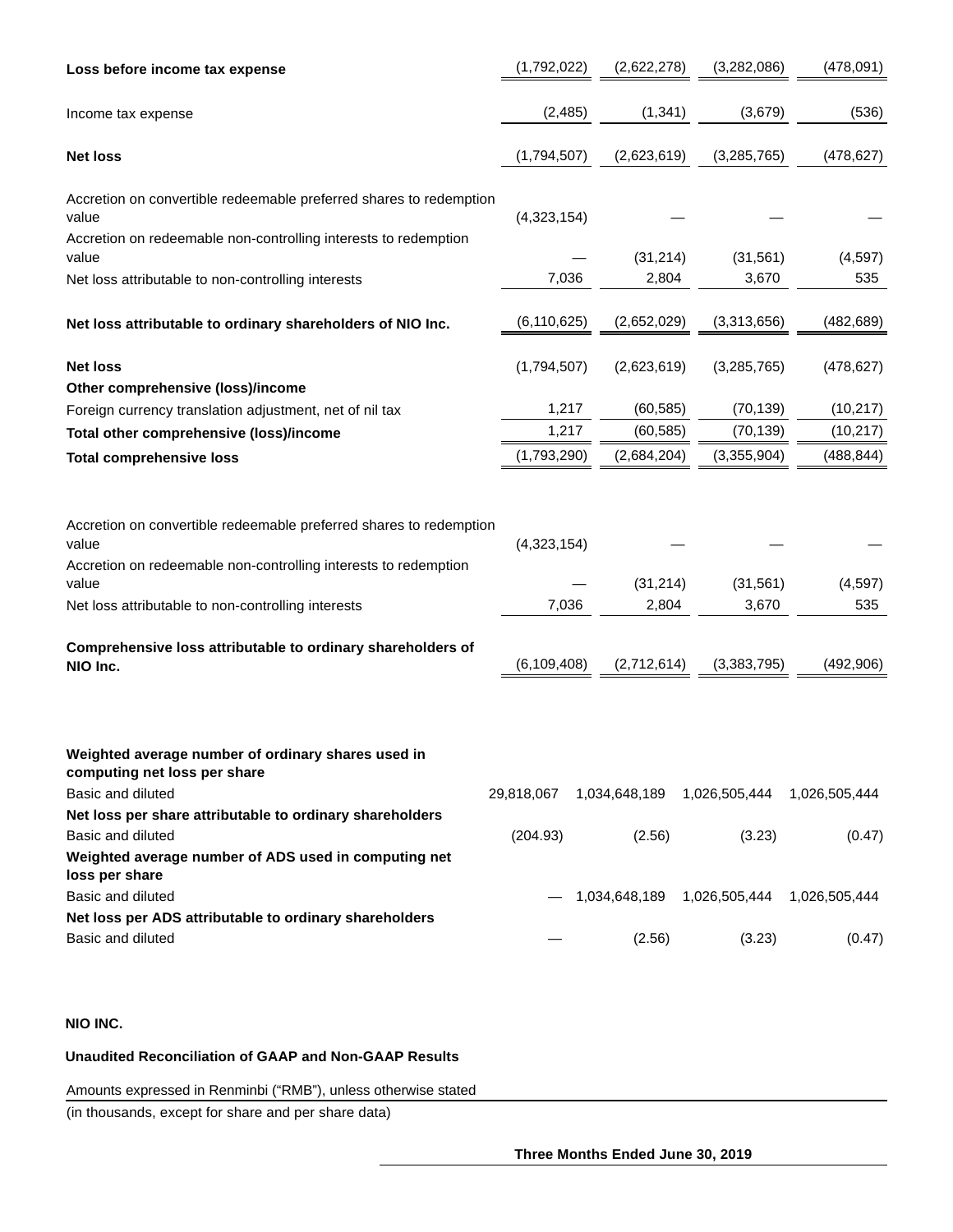| Loss before income tax expense                                                                                                                                                                                | (1,792,022)          |             | (2,622,278)        | (3,282,086)                              | (478,091)       |  |
|---------------------------------------------------------------------------------------------------------------------------------------------------------------------------------------------------------------|----------------------|-------------|--------------------|------------------------------------------|-----------------|--|
| Income tax expense                                                                                                                                                                                            | (2, 485)             |             | (1, 341)           | (3,679)                                  | (536)           |  |
| <b>Net loss</b>                                                                                                                                                                                               | (1,794,507)          |             | (2,623,619)        | (3, 285, 765)                            | (478, 627)      |  |
| Accretion on convertible redeemable preferred shares to redemption<br>value<br>Accretion on redeemable non-controlling interests to redemption                                                                | (4,323,154)          |             |                    |                                          |                 |  |
| value                                                                                                                                                                                                         |                      |             | (31, 214)<br>2,804 | (31, 561)                                | (4,597)         |  |
| Net loss attributable to non-controlling interests                                                                                                                                                            |                      | 7,036       |                    | 3,670                                    | 535             |  |
| Net loss attributable to ordinary shareholders of NIO Inc.                                                                                                                                                    | (6, 110, 625)        |             | (2,652,029)        | (3,313,656)                              | (482, 689)      |  |
| <b>Net loss</b><br>Other comprehensive (loss)/income                                                                                                                                                          | (1,794,507)          |             | (2,623,619)        | (3, 285, 765)                            | (478, 627)      |  |
| Foreign currency translation adjustment, net of nil tax                                                                                                                                                       | 1,217                |             | (60, 585)          | (70, 139)                                | (10, 217)       |  |
| Total other comprehensive (loss)/income                                                                                                                                                                       |                      | 1,217       |                    | (60, 585)<br>(70, 139)                   | (10, 217)       |  |
| <b>Total comprehensive loss</b>                                                                                                                                                                               |                      | (1,793,290) |                    | (3,355,904)<br>(2,684,204)               | (488, 844)      |  |
| Accretion on convertible redeemable preferred shares to redemption<br>value<br>Accretion on redeemable non-controlling interests to redemption<br>value<br>Net loss attributable to non-controlling interests | (4,323,154)<br>7,036 |             | (31, 214)<br>2,804 | (31, 561)<br>3,670                       | (4, 597)<br>535 |  |
| Comprehensive loss attributable to ordinary shareholders of<br>NIO Inc.                                                                                                                                       | (6, 109, 408)        |             | (2,712,614)        | (3,383,795)                              | (492, 906)      |  |
| Weighted average number of ordinary shares used in<br>computing net loss per share<br>Basic and diluted<br>Net loss per share attributable to ordinary shareholders                                           |                      |             |                    | 29,818,067  1,034,648,189  1,026,505,444 | 1,026,505,444   |  |
| Basic and diluted<br>Weighted average number of ADS used in computing net<br>loss per share                                                                                                                   | (204.93)             |             | (2.56)             | (3.23)                                   | (0.47)          |  |
| Basic and diluted                                                                                                                                                                                             |                      |             |                    | 1,034,648,189   1,026,505,444            | 1,026,505,444   |  |
| Net loss per ADS attributable to ordinary shareholders<br>Basic and diluted                                                                                                                                   |                      |             | (2.56)             | (3.23)                                   | (0.47)          |  |

## **NIO INC.**

## **Unaudited Reconciliation of GAAP and Non-GAAP Results**

Amounts expressed in Renminbi ("RMB"), unless otherwise stated

(in thousands, except for share and per share data)

**Three Months Ended June 30, 2019**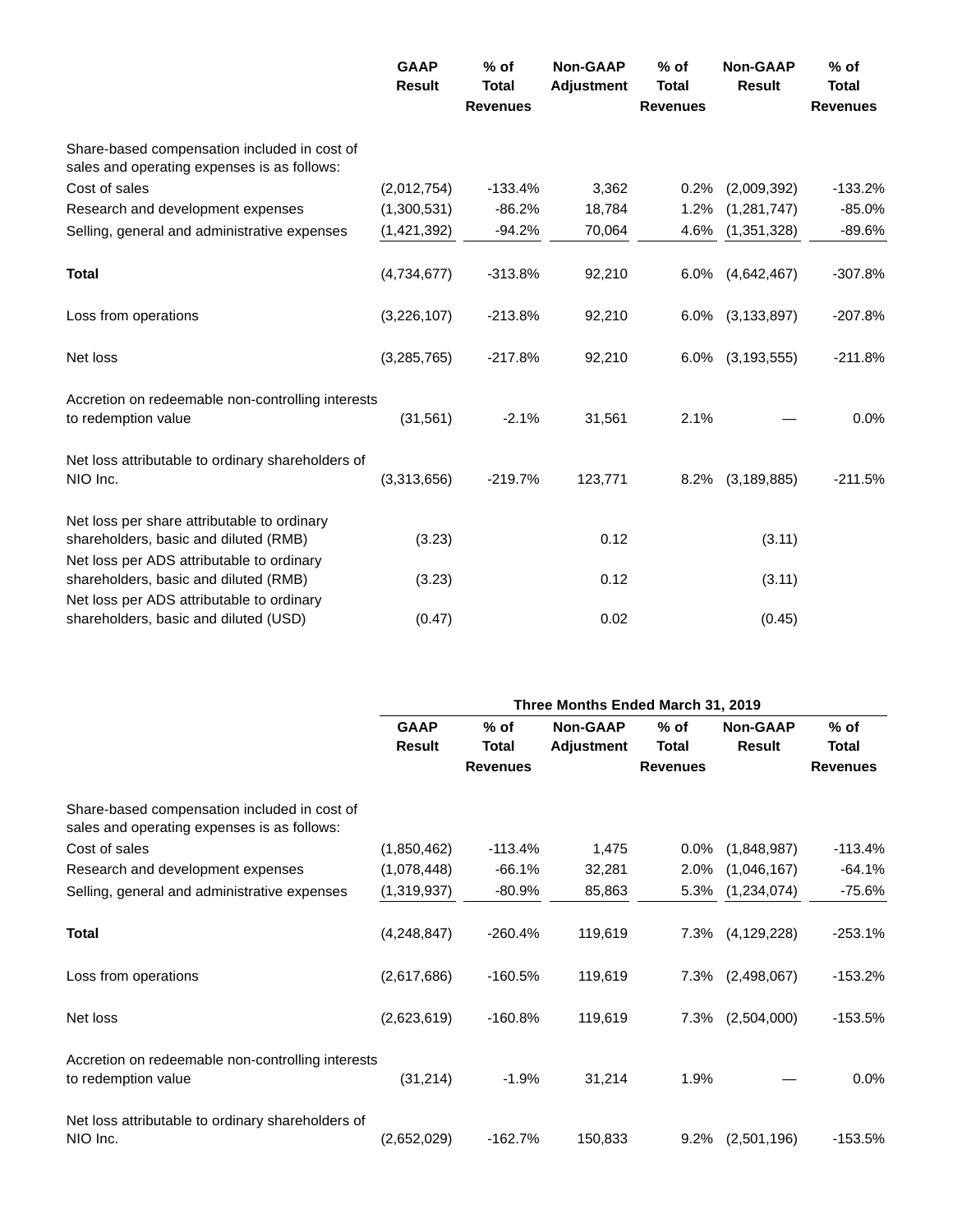|                                                                                             | <b>GAAP</b><br><b>Result</b> | $%$ of<br><b>Total</b><br><b>Revenues</b> | <b>Non-GAAP</b><br><b>Adjustment</b> | $%$ of<br><b>Total</b><br><b>Revenues</b> | <b>Non-GAAP</b><br><b>Result</b> | $%$ of<br><b>Total</b><br><b>Revenues</b> |
|---------------------------------------------------------------------------------------------|------------------------------|-------------------------------------------|--------------------------------------|-------------------------------------------|----------------------------------|-------------------------------------------|
| Share-based compensation included in cost of<br>sales and operating expenses is as follows: |                              |                                           |                                      |                                           |                                  |                                           |
| Cost of sales                                                                               | (2,012,754)                  | $-133.4%$                                 | 3,362                                | 0.2%                                      | (2,009,392)                      | $-133.2%$                                 |
| Research and development expenses                                                           | (1,300,531)                  | $-86.2%$                                  | 18,784                               | 1.2%                                      | (1, 281, 747)                    | $-85.0%$                                  |
| Selling, general and administrative expenses                                                | (1,421,392)                  | $-94.2%$                                  | 70,064                               | 4.6%                                      | (1, 351, 328)                    | $-89.6%$                                  |
| <b>Total</b>                                                                                | (4,734,677)                  | $-313.8%$                                 | 92,210                               | $6.0\%$                                   | (4,642,467)                      | $-307.8%$                                 |
| Loss from operations                                                                        | (3,226,107)                  | $-213.8%$                                 | 92,210                               |                                           | 6.0% (3,133,897)                 | $-207.8%$                                 |
| Net loss                                                                                    | (3,285,765)                  | $-217.8%$                                 | 92,210                               | $6.0\%$                                   | (3, 193, 555)                    | $-211.8%$                                 |
| Accretion on redeemable non-controlling interests<br>to redemption value                    | (31, 561)                    | $-2.1%$                                   | 31,561                               | 2.1%                                      |                                  | 0.0%                                      |
| Net loss attributable to ordinary shareholders of<br>NIO Inc.                               | (3,313,656)                  | $-219.7%$                                 | 123,771                              | 8.2%                                      | (3, 189, 885)                    | $-211.5%$                                 |
| Net loss per share attributable to ordinary<br>shareholders, basic and diluted (RMB)        | (3.23)                       |                                           | 0.12                                 |                                           | (3.11)                           |                                           |
| Net loss per ADS attributable to ordinary<br>shareholders, basic and diluted (RMB)          | (3.23)                       |                                           | 0.12                                 |                                           | (3.11)                           |                                           |
| Net loss per ADS attributable to ordinary<br>shareholders, basic and diluted (USD)          | (0.47)                       |                                           | 0.02                                 |                                           | (0.45)                           |                                           |

|                                                                                             | Three Months Ended March 31, 2019 |                 |                   |                 |                 |                 |  |  |
|---------------------------------------------------------------------------------------------|-----------------------------------|-----------------|-------------------|-----------------|-----------------|-----------------|--|--|
|                                                                                             | <b>GAAP</b>                       | % of            | <b>Non-GAAP</b>   | $%$ of          | <b>Non-GAAP</b> | $%$ of          |  |  |
|                                                                                             | <b>Result</b>                     | Total           | <b>Adjustment</b> | Total           | <b>Result</b>   | Total           |  |  |
|                                                                                             |                                   | <b>Revenues</b> |                   | <b>Revenues</b> |                 | <b>Revenues</b> |  |  |
| Share-based compensation included in cost of<br>sales and operating expenses is as follows: |                                   |                 |                   |                 |                 |                 |  |  |
| Cost of sales                                                                               | (1,850,462)                       | $-113.4%$       | 1,475             | $0.0\%$         | (1,848,987)     | $-113.4%$       |  |  |
| Research and development expenses                                                           | (1,078,448)                       | $-66.1%$        | 32,281            | 2.0%            | (1,046,167)     | $-64.1%$        |  |  |
| Selling, general and administrative expenses                                                | (1,319,937)                       | $-80.9%$        | 85,863            | 5.3%            | (1,234,074)     | $-75.6%$        |  |  |
| <b>Total</b>                                                                                | (4,248,847)                       | $-260.4%$       | 119,619           | 7.3%            | (4, 129, 228)   | $-253.1%$       |  |  |
| Loss from operations                                                                        | (2,617,686)                       | $-160.5%$       | 119,619           | 7.3%            | (2,498,067)     | $-153.2%$       |  |  |
| Net loss                                                                                    | (2,623,619)                       | $-160.8%$       | 119,619           | 7.3%            | (2,504,000)     | $-153.5%$       |  |  |
| Accretion on redeemable non-controlling interests<br>to redemption value                    | (31, 214)                         | $-1.9%$         | 31,214            | 1.9%            |                 | 0.0%            |  |  |
| Net loss attributable to ordinary shareholders of<br>NIO Inc.                               | (2,652,029)                       | $-162.7%$       | 150,833           | 9.2%            | (2,501,196)     | $-153.5%$       |  |  |